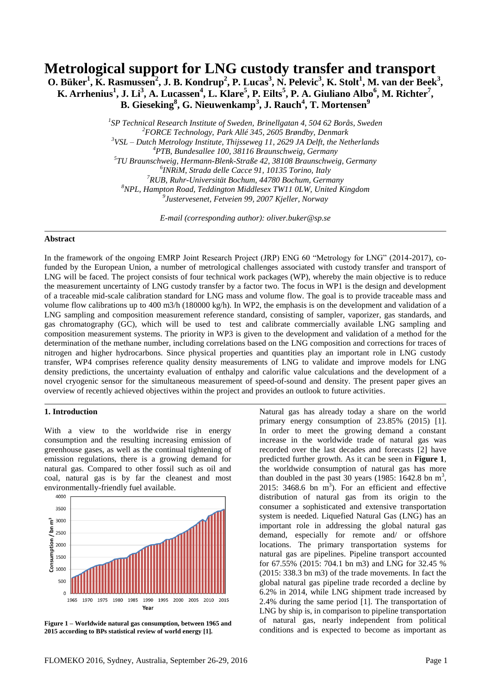# **Metrological support for LNG custody transfer and transport**

**O. Büker<sup>1</sup> , K. Rasmussen<sup>2</sup> , J. B. Kondrup<sup>2</sup> , P. Lucas<sup>3</sup> , N. Pelevic<sup>3</sup> , K. Stolt<sup>1</sup> , M. van der Beek<sup>3</sup> ,** K. Arrhenius<sup>1</sup>, J. Li<sup>3</sup>, A. Lucassen<sup>4</sup>, L. Klare<sup>5</sup>, P. Eilts<sup>5</sup>, P. A. Giuliano Albo<sup>6</sup>, M. Richter<sup>7</sup>, **B. Gieseking<sup>8</sup> , G. Nieuwenkamp<sup>3</sup> , J. Rauch<sup>4</sup> , T. Mortensen<sup>9</sup>**

> *SP Technical Research Institute of Sweden, Brinellgatan 4, 504 62 Borås, Sweden FORCE Technology, Park Allé 345, 2605 Brøndby, Denmark VSL – Dutch Metrology Institute, Thijsseweg 11, 2629 JA Delft, the Netherlands PTB, Bundesallee 100, 38116 Braunschweig, Germany TU Braunschweig, Hermann-Blenk-Straße 42, 38108 Braunschweig, Germany INRiM, Strada delle Cacce 91, 10135 Torino, Italy RUB, Ruhr-Universität Bochum, 44780 Bochum, Germany NPL, Hampton Road, Teddington Middlesex TW11 0LW, United Kingdom Justervesenet, Fetveien 99, 2007 Kjeller, Norway*

> > *E-mail (corresponding author): oliver.buker@sp.se*

### **Abstract**

In the framework of the ongoing EMRP Joint Research Project (JRP) ENG 60 "Metrology for LNG" (2014-2017), cofunded by the European Union, a number of metrological challenges associated with custody transfer and transport of LNG will be faced. The project consists of four technical work packages (WP), whereby the main objective is to reduce the measurement uncertainty of LNG custody transfer by a factor two. The focus in WP1 is the design and development of a traceable mid-scale calibration standard for LNG mass and volume flow. The goal is to provide traceable mass and volume flow calibrations up to 400 m3/h (180000 kg/h). In WP2, the emphasis is on the development and validation of a LNG sampling and composition measurement reference standard, consisting of sampler, vaporizer, gas standards, and gas chromatography (GC), which will be used to test and calibrate commercially available LNG sampling and composition measurement systems. The priority in WP3 is given to the development and validation of a method for the determination of the methane number, including correlations based on the LNG composition and corrections for traces of nitrogen and higher hydrocarbons. Since physical properties and quantities play an important role in LNG custody transfer, WP4 comprises reference quality density measurements of LNG to validate and improve models for LNG density predictions, the uncertainty evaluation of enthalpy and calorific value calculations and the development of a novel cryogenic sensor for the simultaneous measurement of speed-of-sound and density. The present paper gives an overview of recently achieved objectives within the project and provides an outlook to future activities.

#### **1. Introduction**

With a view to the worldwide rise in energy consumption and the resulting increasing emission of greenhouse gases, as well as the continual tightening of emission regulations, there is a growing demand for natural gas. Compared to other fossil such as oil and coal, natural gas is by far the cleanest and most environmentally-friendly fuel available.



<span id="page-0-0"></span>**Figure 1 – Worldwide natural gas consumption, between 1965 and 2015 according to BPs statistical review of world energ[y \[1\].](#page-5-0)**

Natural gas has already today a share on the world primary energy consumption of 23.85% (2015) [\[1\].](#page-5-0) In order to meet the growing demand a constant increase in the worldwide trade of natural gas was recorded over the last decades and forecasts [\[2\]](#page-5-1) have predicted further growth. As it can be seen in **[Figure 1](#page-0-0)**, the worldwide consumption of natural gas has more than doubled in the past 30 years (1985:  $1642.8$  bn m<sup>3</sup>, 2015: 3468.6 bn  $m<sup>3</sup>$ ). For an efficient and effective distribution of natural gas from its origin to the consumer a sophisticated and extensive transportation system is needed. Liquefied Natural Gas (LNG) has an important role in addressing the global natural gas demand, especially for remote and/ or offshore locations. The primary transportation systems for natural gas are pipelines. Pipeline transport accounted for 67.55% (2015: 704.1 bn m3) and LNG for 32.45 % (2015: 338.3 bn m3) of the trade movements. In fact the global natural gas pipeline trade recorded a decline by 6.2% in 2014, while LNG shipment trade increased by 2.4% during the same period [\[1\].](#page-5-0) The transportation of LNG by ship is, in comparison to pipeline transportation of natural gas, nearly independent from political conditions and is expected to become as important as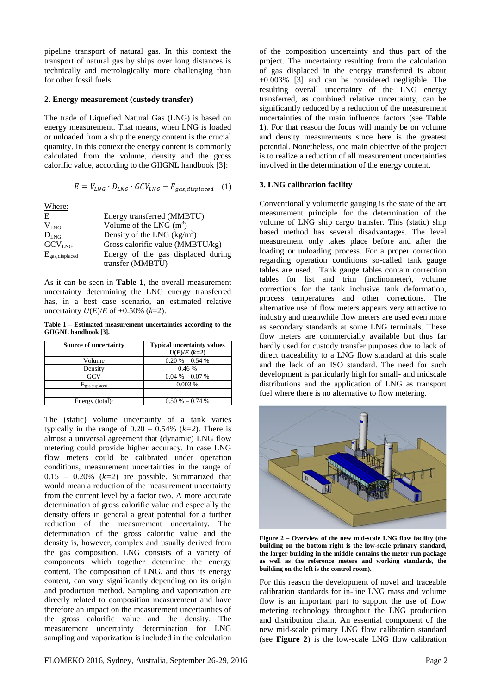pipeline transport of natural gas. In this context the transport of natural gas by ships over long distances is technically and metrologically more challenging than for other fossil fuels.

#### **2. Energy measurement (custody transfer)**

The trade of Liquefied Natural Gas (LNG) is based on energy measurement. That means, when LNG is loaded or unloaded from a ship the energy content is the crucial quantity. In this context the energy content is commonly calculated from the volume, density and the gross calorific value, according to the GIIGNL handbook [\[3\]:](#page-5-2)

$$
E = V_{LNG} \cdot D_{LNG} \cdot GCV_{LNG} - E_{gas,displaced} \quad (1)
$$

Where:

| E                   | Energy transferred (MMBTU)         |
|---------------------|------------------------------------|
| $V_{LNG}$           | Volume of the LNG $(m^3)$          |
| $D_{LNG}$           | Density of the LNG $(kg/m^3)$      |
| GCV <sub>LNG</sub>  | Gross calorific value (MMBTU/kg)   |
| $E_{gas,displaced}$ | Energy of the gas displaced during |
|                     | transfer (MMBTU)                   |

As it can be seen in **[Table](#page-1-0) 1**, the overall measurement uncertainty determining the LNG energy transferred has, in a best case scenario, an estimated relative uncertainty  $U(E)/E$  of  $\pm 0.50\%$  (k=2).

<span id="page-1-0"></span>**Table 1 – Estimated measurement uncertainties according to the GIIGNL handbook [\[3\].](#page-5-2)**

| <b>Source of uncertainty</b> | <b>Typical uncertainty values</b> |
|------------------------------|-----------------------------------|
|                              | $U(E)/E(k=2)$                     |
| Volume                       | $0.20\% - 0.54\%$                 |
| Density                      | 0.46%                             |
| GCV                          | $0.04\% - 0.07\%$                 |
| $E_{gas,displaced}$          | 0.003%                            |
|                              |                                   |
| Energy (total):              | $0.50\% - 0.74\%$                 |

The (static) volume uncertainty of a tank varies typically in the range of  $0.20 - 0.54\%$  ( $k=2$ ). There is almost a universal agreement that (dynamic) LNG flow metering could provide higher accuracy. In case LNG flow meters could be calibrated under operation conditions, measurement uncertainties in the range of  $0.15 - 0.20\%$  ( $k=2$ ) are possible. Summarized that would mean a reduction of the measurement uncertainty from the current level by a factor two. A more accurate determination of gross calorific value and especially the density offers in general a great potential for a further reduction of the measurement uncertainty. The determination of the gross calorific value and the density is, however, complex and usually derived from the gas composition. LNG consists of a variety of components which together determine the energy content. The composition of LNG, and thus its energy content, can vary significantly depending on its origin and production method. Sampling and vaporization are directly related to composition measurement and have therefore an impact on the measurement uncertainties of the gross calorific value and the density. The measurement uncertainty determination for LNG sampling and vaporization is included in the calculation of the composition uncertainty and thus part of the project. The uncertainty resulting from the calculation of gas displaced in the energy transferred is about  $\pm 0.003\%$  [\[3\]](#page-5-2) and can be considered negligible. The resulting overall uncertainty of the LNG energy transferred, as combined relative uncertainty, can be significantly reduced by a reduction of the measurement uncertainties of the main influence factors (see **[Table](#page-1-0) [1](#page-1-0)**). For that reason the focus will mainly be on volume and density measurements since here is the greatest potential. Nonetheless, one main objective of the project is to realize a reduction of all measurement uncertainties involved in the determination of the energy content.

#### **3. LNG calibration facility**

Conventionally volumetric gauging is the state of the art measurement principle for the determination of the volume of LNG ship cargo transfer. This (static) ship based method has several disadvantages. The level measurement only takes place before and after the loading or unloading process. For a proper correction regarding operation conditions so-called tank gauge tables are used. Tank gauge tables contain correction tables for list and trim (inclinometer), volume corrections for the tank inclusive tank deformation, process temperatures and other corrections. The alternative use of flow meters appears very attractive to industry and meanwhile flow meters are used even more as secondary standards at some LNG terminals. These flow meters are commercially available but thus far hardly used for custody transfer purposes due to lack of direct traceability to a LNG flow standard at this scale and the lack of an ISO standard. The need for such development is particularly high for small- and midscale distributions and the application of LNG as transport fuel where there is no alternative to flow metering.



**Figure 2 – Overview of the new mid-scale LNG flow facility (the building on the bottom right is the low-scale primary standard, the larger building in the middle contains the meter run package as well as the reference meters and working standards, the building on the left is the control room).**

<span id="page-1-1"></span>For this reason the development of novel and traceable calibration standards for in-line LNG mass and volume flow is an important part to support the use of flow metering technology throughout the LNG production and distribution chain. An essential component of the new mid-scale primary LNG flow calibration standard (see **[Figure 2](#page-1-1)**) is the low-scale LNG flow calibration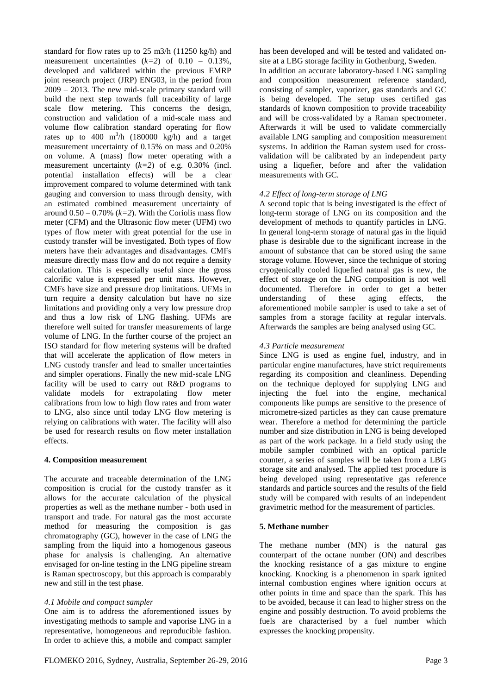standard for flow rates up to 25 m3/h (11250 kg/h) and measurement uncertainties (*k=2*) of 0.10 – 0.13%, developed and validated within the previous EMRP joint research project (JRP) ENG03, in the period from 2009 – 2013. The new mid-scale primary standard will build the next step towards full traceability of large scale flow metering. This concerns the design, construction and validation of a mid-scale mass and volume flow calibration standard operating for flow rates up to 400 m<sup>3</sup>/h (180000 kg/h) and a target measurement uncertainty of 0.15% on mass and 0.20% on volume. A (mass) flow meter operating with a measurement uncertainty (*k=2*) of e.g. 0.30% (incl. potential installation effects) will be a clear improvement compared to volume determined with tank gauging and conversion to mass through density, with an estimated combined measurement uncertainty of around  $0.50 - 0.70\%$  ( $k=2$ ). With the Coriolis mass flow meter (CFM) and the Ultrasonic flow meter (UFM) two types of flow meter with great potential for the use in custody transfer will be investigated. Both types of flow meters have their advantages and disadvantages. CMFs measure directly mass flow and do not require a density calculation. This is especially useful since the gross calorific value is expressed per unit mass. However, CMFs have size and pressure drop limitations. UFMs in turn require a density calculation but have no size limitations and providing only a very low pressure drop and thus a low risk of LNG flashing. UFMs are therefore well suited for transfer measurements of large volume of LNG. In the further course of the project an ISO standard for flow metering systems will be drafted that will accelerate the application of flow meters in LNG custody transfer and lead to smaller uncertainties and simpler operations. Finally the new mid-scale LNG facility will be used to carry out R&D programs to validate models for extrapolating flow meter calibrations from low to high flow rates and from water to LNG, also since until today LNG flow metering is relying on calibrations with water. The facility will also be used for research results on flow meter installation effects.

# **4. Composition measurement**

The accurate and traceable determination of the LNG composition is crucial for the custody transfer as it allows for the accurate calculation of the physical properties as well as the methane number - both used in transport and trade. For natural gas the most accurate method for measuring the composition is gas chromatography (GC), however in the case of LNG the sampling from the liquid into a homogenous gaseous phase for analysis is challenging. An alternative envisaged for on-line testing in the LNG pipeline stream is Raman spectroscopy, but this approach is comparably new and still in the test phase.

# *4.1 Mobile and compact sampler*

One aim is to address the aforementioned issues by investigating methods to sample and vaporise LNG in a representative, homogeneous and reproducible fashion. In order to achieve this, a mobile and compact sampler In addition an accurate laboratory-based LNG sampling and composition measurement reference standard, consisting of sampler, vaporizer, gas standards and GC is being developed. The setup uses certified gas standards of known composition to provide traceability and will be cross-validated by a Raman spectrometer. Afterwards it will be used to validate commercially available LNG sampling and composition measurement systems. In addition the Raman system used for crossvalidation will be calibrated by an independent party using a liquefier, before and after the validation measurements with GC.

# *4.2 Effect of long-term storage of LNG*

A second topic that is being investigated is the effect of long-term storage of LNG on its composition and the development of methods to quantify particles in LNG. In general long-term storage of natural gas in the liquid phase is desirable due to the significant increase in the amount of substance that can be stored using the same storage volume. However, since the technique of storing cryogenically cooled liquefied natural gas is new, the effect of storage on the LNG composition is not well documented. Therefore in order to get a better understanding of these aging effects, the aforementioned mobile sampler is used to take a set of samples from a storage facility at regular intervals. Afterwards the samples are being analysed using GC.

# *4.3 Particle measurement*

Since LNG is used as engine fuel, industry, and in particular engine manufactures, have strict requirements regarding its composition and cleanliness. Depending on the technique deployed for supplying LNG and injecting the fuel into the engine, mechanical components like pumps are sensitive to the presence of micrometre-sized particles as they can cause premature wear. Therefore a method for determining the particle number and size distribution in LNG is being developed as part of the work package. In a field study using the mobile sampler combined with an optical particle counter, a series of samples will be taken from a LBG storage site and analysed. The applied test procedure is being developed using representative gas reference standards and particle sources and the results of the field study will be compared with results of an independent gravimetric method for the measurement of particles.

# **5. Methane number**

The methane number (MN) is the natural gas counterpart of the octane number (ON) and describes the knocking resistance of a gas mixture to engine knocking. Knocking is a phenomenon in spark ignited internal combustion engines where ignition occurs at other points in time and space than the spark. This has to be avoided, because it can lead to higher stress on the engine and possibly destruction. To avoid problems the fuels are characterised by a fuel number which expresses the knocking propensity.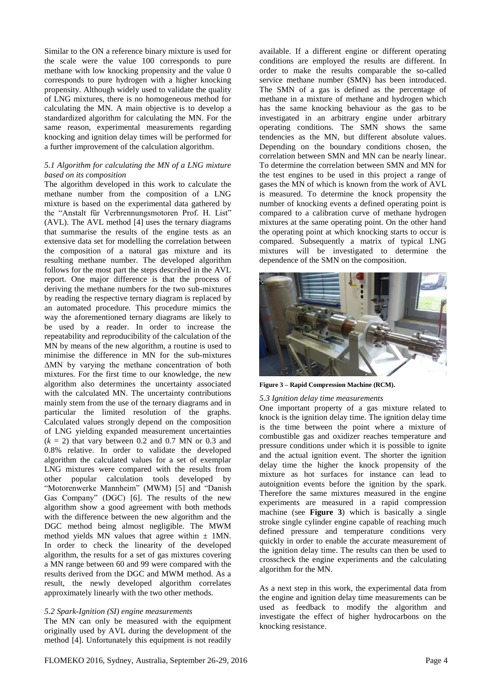Similar to the ON a reference binary mixture is used for the scale were the value 100 corresponds to pure methane with low knocking propensity and the value 0 corresponds to pure hydrogen with a higher knocking propensity. Although widely used to validate the quality of LNG mixtures, there is no homogeneous method for calculating the MN. A main objective is to develop a standardized algorithm for calculating the MN. For the same reason, experimental measurements regarding knocking and ignition delay times will be performed for a further improvement of the calculation algorithm.

## *5.1 Algorithm for calculating the MN of a LNG mixture based on its composition*

The algorithm developed in this work to calculate the methane number from the composition of a LNG mixture is based on the experimental data gathered by the "Anstalt für Verbrennungsmotoren Prof. H. List" (AVL). The AVL method [\[4\]](#page-5-3) uses the ternary diagrams that summarise the results of the engine tests as an extensive data set for modelling the correlation between the composition of a natural gas mixture and its resulting methane number. The developed algorithm follows for the most part the steps described in the AVL report. One major difference is that the process of deriving the methane numbers for the two sub-mixtures by reading the respective ternary diagram is replaced by an automated procedure. This procedure mimics the way the aforementioned ternary diagrams are likely to be used by a reader. In order to increase the repeatability and reproducibility of the calculation of the MN by means of the new algorithm, a routine is used to minimise the difference in MN for the sub-mixtures ΔMN by varying the methane concentration of both mixtures. For the first time to our knowledge, the new algorithm also determines the uncertainty associated with the calculated MN. The uncertainty contributions mainly stem from the use of the ternary diagrams and in particular the limited resolution of the graphs. Calculated values strongly depend on the composition of LNG yielding expanded measurement uncertainties  $(k = 2)$  that vary between 0.2 and 0.7 MN or 0.3 and 0.8% relative. In order to validate the developed algorithm the calculated values for a set of exemplar LNG mixtures were compared with the results from other popular calculation tools developed by "Motorenwerke Mannheim" (MWM) [\[5\]](#page-5-4) and "Danish Gas Company" (DGC) [\[6\].](#page-5-5) The results of the new algorithm show a good agreement with both methods with the difference between the new algorithm and the DGC method being almost negligible. The MWM method yields MN values that agree within  $\pm$  1MN. In order to check the linearity of the developed algorithm, the results for a set of gas mixtures covering a MN range between 60 and 99 were compared with the results derived from the DGC and MWM method. As a result, the newly developed algorithm correlates approximately linearly with the two other methods.

#### *5.2 Spark-Ignition (SI) engine measurements*

The MN can only be measured with the equipment originally used by AVL during the development of the method [\[4\].](#page-5-3) Unfortunately this equipment is not readily available. If a different engine or different operating conditions are employed the results are different. In order to make the results comparable the so-called service methane number (SMN) has been introduced. The SMN of a gas is defined as the percentage of methane in a mixture of methane and hydrogen which has the same knocking behaviour as the gas to be investigated in an arbitrary engine under arbitrary operating conditions. The SMN shows the same tendencies as the MN, but different absolute values. Depending on the boundary conditions chosen, the correlation between SMN and MN can be nearly linear. To determine the correlation between SMN and MN for the test engines to be used in this project a range of gases the MN of which is known from the work of AVL is measured. To determine the knock propensity the number of knocking events a defined operating point is compared to a calibration curve of methane hydrogen mixtures at the same operating point. On the other hand the operating point at which knocking starts to occur is compared. Subsequently a matrix of typical LNG mixtures will be investigated to determine the dependence of the SMN on the composition.



**Figure 3 – Rapid Compression Machine (RCM).**

#### <span id="page-3-0"></span>*5.3 Ignition delay time measurements*

One important property of a gas mixture related to knock is the ignition delay time. The ignition delay time is the time between the point where a mixture of combustible gas and oxidizer reaches temperature and pressure conditions under which it is possible to ignite and the actual ignition event. The shorter the ignition delay time the higher the knock propensity of the mixture as hot surfaces for instance can lead to autoignition events before the ignition by the spark. Therefore the same mixtures measured in the engine experiments are measured in a rapid compression machine (see **[Figure 3](#page-3-0)**) which is basically a single stroke single cylinder engine capable of reaching much defined pressure and temperature conditions very quickly in order to enable the accurate measurement of the ignition delay time. The results can then be used to crosscheck the engine experiments and the calculating algorithm for the MN.

As a next step in this work, the experimental data from the engine and ignition delay time measurements can be used as feedback to modify the algorithm and investigate the effect of higher hydrocarbons on the knocking resistance.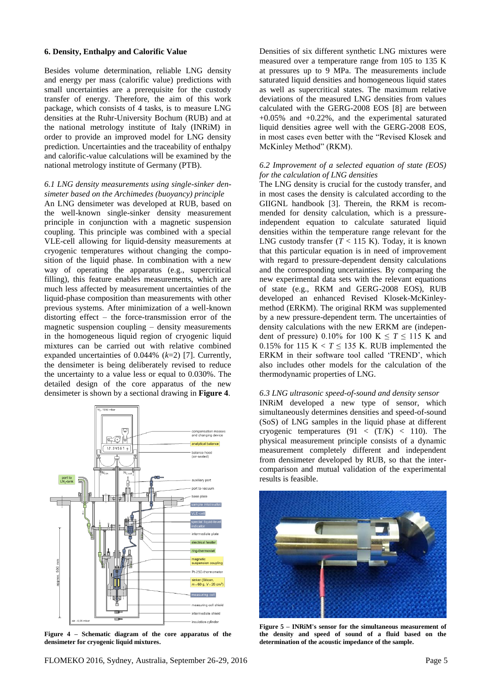### **6. Density, Enthalpy and Calorific Value**

Besides volume determination, reliable LNG density and energy per mass (calorific value) predictions with small uncertainties are a prerequisite for the custody transfer of energy. Therefore, the aim of this work package, which consists of 4 tasks, is to measure LNG densities at the Ruhr-University Bochum (RUB) and at the national metrology institute of Italy (INRiM) in order to provide an improved model for LNG density prediction. Uncertainties and the traceability of enthalpy and calorific-value calculations will be examined by the national metrology institute of Germany (PTB).

## *6.1 LNG density measurements using single-sinker densimeter based on the Archimedes (buoyancy) principle*

An LNG densimeter was developed at RUB, based on the well-known single-sinker density measurement principle in conjunction with a magnetic suspension coupling. This principle was combined with a special VLE-cell allowing for liquid-density measurements at cryogenic temperatures without changing the composition of the liquid phase. In combination with a new way of operating the apparatus (e.g., supercritical filling), this feature enables measurements, which are much less affected by measurement uncertainties of the liquid-phase composition than measurements with other previous systems. After minimization of a well-known distorting effect – the force-transmission error of the magnetic suspension coupling – density measurements in the homogeneous liquid region of cryogenic liquid mixtures can be carried out with relative combined expanded uncertainties of 0.044% (*k*=2) [\[7\].](#page-5-6) Currently, the densimeter is being deliberately revised to reduce the uncertainty to a value less or equal to 0.030%. The detailed design of the core apparatus of the new densimeter is shown by a sectional drawing in **[Figure](#page-4-0) 4**.



<span id="page-4-0"></span>**Figure 4 – Schematic diagram of the core apparatus of the densimeter for cryogenic liquid mixtures.**

Densities of six different synthetic LNG mixtures were measured over a temperature range from 105 to 135 K at pressures up to 9 MPa. The measurements include saturated liquid densities and homogeneous liquid states as well as supercritical states. The maximum relative deviations of the measured LNG densities from values calculated with the GERG-2008 EOS [\[8\]](#page-5-7) are between  $+0.05\%$  and  $+0.22\%$ , and the experimental saturated liquid densities agree well with the GERG-2008 EOS, in most cases even better with the "Revised Klosek and McKinley Method" (RKM).

## *6.2 Improvement of a selected equation of state (EOS) for the calculation of LNG densities*

The LNG density is crucial for the custody transfer, and in most cases the density is calculated according to the GIIGNL handbook [\[3\].](#page-5-2) Therein, the RKM is recommended for density calculation, which is a pressureindependent equation to calculate saturated liquid densities within the temperature range relevant for the LNG custody transfer  $(T < 115$  K). Today, it is known that this particular equation is in need of improvement with regard to pressure-dependent density calculations and the corresponding uncertainties. By comparing the new experimental data sets with the relevant equations of state (e.g., RKM and GERG-2008 EOS), RUB developed an enhanced Revised Klosek-McKinleymethod (ERKM). The original RKM was supplemented by a new pressure-dependent term. The uncertainties of density calculations with the new ERKM are (independent of pressure) 0.10% for 100 K  $\leq T \leq 115$  K and 0.15% for 115 K  $< T \le 135$  K. RUB implemented the ERKM in their software tool called 'TREND', which also includes other models for the calculation of the thermodynamic properties of LNG.

#### *6.3 LNG ultrasonic speed-of-sound and density sensor*

INRiM developed a new type of sensor, which simultaneously determines densities and speed-of-sound (SoS) of LNG samples in the liquid phase at different cryogenic temperatures  $(91 \lt (T/K) \lt 110)$ . The physical measurement principle consists of a dynamic measurement completely different and independent from densimeter developed by RUB, so that the intercomparison and mutual validation of the experimental results is feasible.

<span id="page-4-1"></span>

**Figure 5 – INRiM's sensor for the simultaneous measurement of the density and speed of sound of a fluid based on the determination of the acoustic impedance of the sample.**